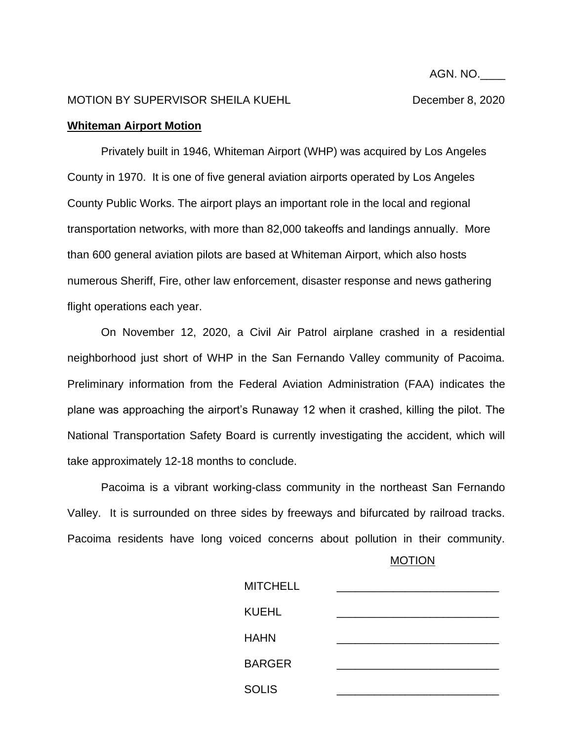AGN. NO.\_\_\_\_

## MOTION BY SUPERVISOR SHEILA KUEHL DECEMBER 8, 2020

## **Whiteman Airport Motion**

Privately built in 1946, Whiteman Airport (WHP) was acquired by Los Angeles County in 1970. It is one of five general aviation airports operated by Los Angeles County Public Works. The airport plays an important role in the local and regional transportation networks, with more than 82,000 takeoffs and landings annually. More than 600 general aviation pilots are based at Whiteman Airport, which also hosts numerous Sheriff, Fire, other law enforcement, disaster response and news gathering flight operations each year.

On November 12, 2020, a Civil Air Patrol airplane crashed in a residential neighborhood just short of WHP in the San Fernando Valley community of Pacoima. Preliminary information from the Federal Aviation Administration (FAA) indicates the plane was approaching the airport's Runaway 12 when it crashed, killing the pilot. The National Transportation Safety Board is currently investigating the accident, which will take approximately 12-18 months to conclude.

Pacoima is a vibrant working-class community in the northeast San Fernando Valley. It is surrounded on three sides by freeways and bifurcated by railroad tracks. Pacoima residents have long voiced concerns about pollution in their community.

**MOTION** 

| <b>MITCHELL</b> |  |
|-----------------|--|
| <b>KUEHL</b>    |  |
| <b>HAHN</b>     |  |
| <b>BARGER</b>   |  |
| <b>SOLIS</b>    |  |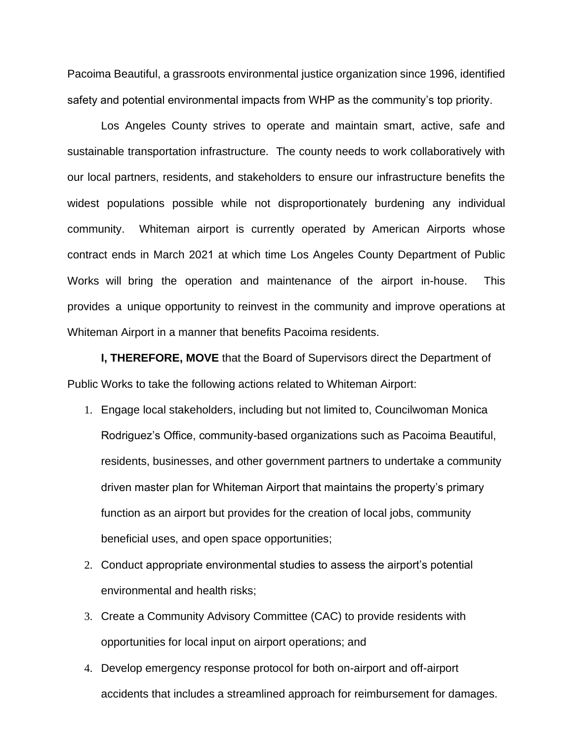Pacoima Beautiful, a grassroots environmental justice organization since 1996, identified safety and potential environmental impacts from WHP as the community's top priority.

Los Angeles County strives to operate and maintain smart, active, safe and sustainable transportation infrastructure. The county needs to work collaboratively with our local partners, residents, and stakeholders to ensure our infrastructure benefits the widest populations possible while not disproportionately burdening any individual community. Whiteman airport is currently operated by American Airports whose contract ends in March 2021 at which time Los Angeles County Department of Public Works will bring the operation and maintenance of the airport in-house. This provides a unique opportunity to reinvest in the community and improve operations at Whiteman Airport in a manner that benefits Pacoima residents.

**I, THEREFORE, MOVE** that the Board of Supervisors direct the Department of Public Works to take the following actions related to Whiteman Airport:

- 1. Engage local stakeholders, including but not limited to, Councilwoman Monica Rodriguez's Office, community-based organizations such as Pacoima Beautiful, residents, businesses, and other government partners to undertake a community driven master plan for Whiteman Airport that maintains the property's primary function as an airport but provides for the creation of local jobs, community beneficial uses, and open space opportunities;
- 2. Conduct appropriate environmental studies to assess the airport's potential environmental and health risks;
- 3. Create a Community Advisory Committee (CAC) to provide residents with opportunities for local input on airport operations; and
- 4. Develop emergency response protocol for both on-airport and off-airport accidents that includes a streamlined approach for reimbursement for damages.